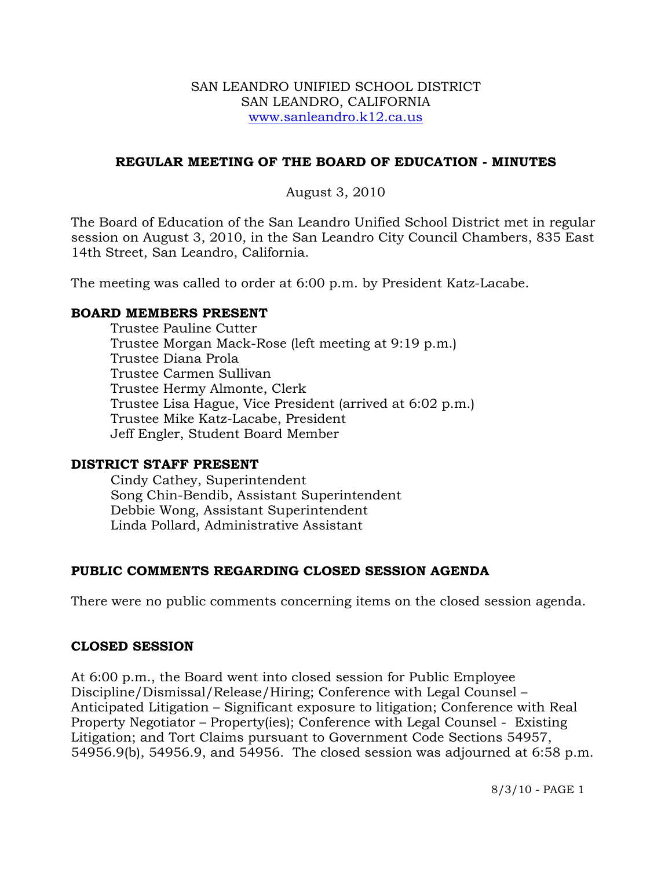### SAN LEANDRO UNIFIED SCHOOL DISTRICT SAN LEANDRO, CALIFORNIA www.sanleandro.k12.ca.us

# **REGULAR MEETING OF THE BOARD OF EDUCATION - MINUTES**

# August 3, 2010

The Board of Education of the San Leandro Unified School District met in regular session on August 3, 2010, in the San Leandro City Council Chambers, 835 East 14th Street, San Leandro, California.

The meeting was called to order at 6:00 p.m. by President Katz-Lacabe.

## **BOARD MEMBERS PRESENT**

Trustee Pauline Cutter Trustee Morgan Mack-Rose (left meeting at 9:19 p.m.) Trustee Diana Prola Trustee Carmen Sullivan Trustee Hermy Almonte, Clerk Trustee Lisa Hague, Vice President (arrived at 6:02 p.m.) Trustee Mike Katz-Lacabe, President Jeff Engler, Student Board Member

#### **DISTRICT STAFF PRESENT**

Cindy Cathey, Superintendent Song Chin-Bendib, Assistant Superintendent Debbie Wong, Assistant Superintendent Linda Pollard, Administrative Assistant

# **PUBLIC COMMENTS REGARDING CLOSED SESSION AGENDA**

There were no public comments concerning items on the closed session agenda.

# **CLOSED SESSION**

At 6:00 p.m., the Board went into closed session for Public Employee Discipline/Dismissal/Release/Hiring; Conference with Legal Counsel – Anticipated Litigation – Significant exposure to litigation; Conference with Real Property Negotiator – Property(ies); Conference with Legal Counsel - Existing Litigation; and Tort Claims pursuant to Government Code Sections 54957, 54956.9(b), 54956.9, and 54956. The closed session was adjourned at 6:58 p.m.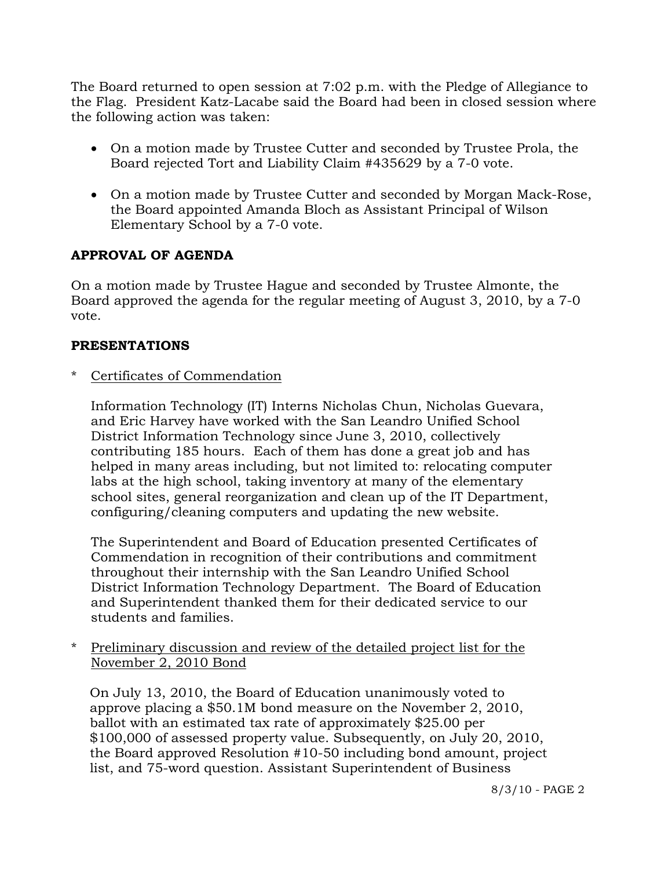The Board returned to open session at 7:02 p.m. with the Pledge of Allegiance to the Flag. President Katz-Lacabe said the Board had been in closed session where the following action was taken:

- On a motion made by Trustee Cutter and seconded by Trustee Prola, the Board rejected Tort and Liability Claim #435629 by a 7-0 vote.
- On a motion made by Trustee Cutter and seconded by Morgan Mack-Rose, the Board appointed Amanda Bloch as Assistant Principal of Wilson Elementary School by a 7-0 vote.

# **APPROVAL OF AGENDA**

On a motion made by Trustee Hague and seconded by Trustee Almonte, the Board approved the agenda for the regular meeting of August 3, 2010, by a 7-0 vote.

# **PRESENTATIONS**

Certificates of Commendation

 Information Technology (IT) Interns Nicholas Chun, Nicholas Guevara, and Eric Harvey have worked with the San Leandro Unified School District Information Technology since June 3, 2010, collectively contributing 185 hours. Each of them has done a great job and has helped in many areas including, but not limited to: relocating computer labs at the high school, taking inventory at many of the elementary school sites, general reorganization and clean up of the IT Department, configuring/cleaning computers and updating the new website.

 The Superintendent and Board of Education presented Certificates of Commendation in recognition of their contributions and commitment throughout their internship with the San Leandro Unified School District Information Technology Department. The Board of Education and Superintendent thanked them for their dedicated service to our students and families.

Preliminary discussion and review of the detailed project list for the November 2, 2010 Bond

 On July 13, 2010, the Board of Education unanimously voted to approve placing a \$50.1M bond measure on the November 2, 2010, ballot with an estimated tax rate of approximately \$25.00 per \$100,000 of assessed property value. Subsequently, on July 20, 2010, the Board approved Resolution #10-50 including bond amount, project list, and 75-word question. Assistant Superintendent of Business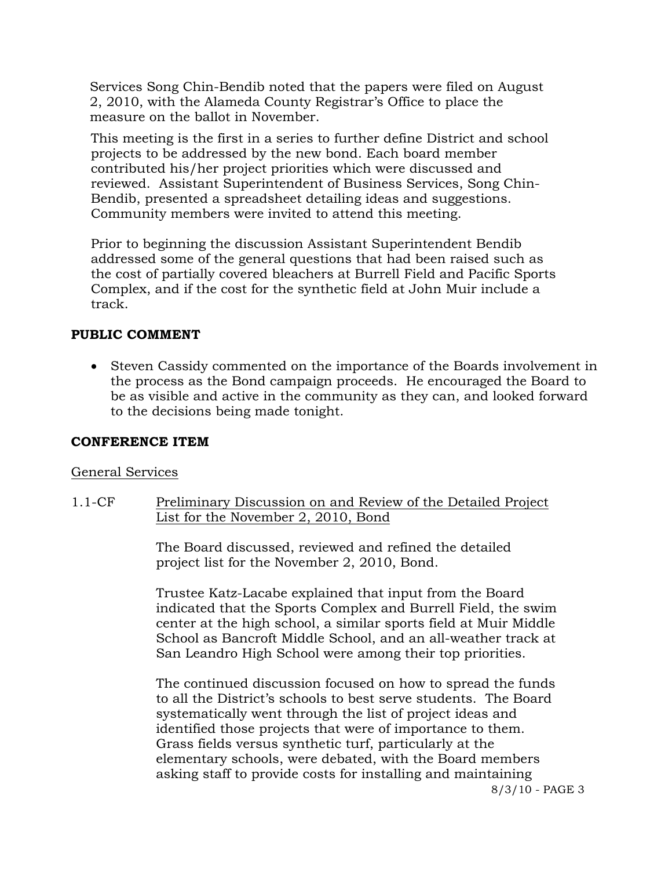Services Song Chin-Bendib noted that the papers were filed on August 2, 2010, with the Alameda County Registrar's Office to place the measure on the ballot in November.

 This meeting is the first in a series to further define District and school projects to be addressed by the new bond. Each board member contributed his/her project priorities which were discussed and reviewed. Assistant Superintendent of Business Services, Song Chin-Bendib, presented a spreadsheet detailing ideas and suggestions. Community members were invited to attend this meeting.

 Prior to beginning the discussion Assistant Superintendent Bendib addressed some of the general questions that had been raised such as the cost of partially covered bleachers at Burrell Field and Pacific Sports Complex, and if the cost for the synthetic field at John Muir include a track.

## **PUBLIC COMMENT**

 Steven Cassidy commented on the importance of the Boards involvement in the process as the Bond campaign proceeds. He encouraged the Board to be as visible and active in the community as they can, and looked forward to the decisions being made tonight.

### **CONFERENCE ITEM**

#### General Services

1.1-CF Preliminary Discussion on and Review of the Detailed Project List for the November 2, 2010, Bond

> The Board discussed, reviewed and refined the detailed project list for the November 2, 2010, Bond.

Trustee Katz-Lacabe explained that input from the Board indicated that the Sports Complex and Burrell Field, the swim center at the high school, a similar sports field at Muir Middle School as Bancroft Middle School, and an all-weather track at San Leandro High School were among their top priorities.

The continued discussion focused on how to spread the funds to all the District's schools to best serve students. The Board systematically went through the list of project ideas and identified those projects that were of importance to them. Grass fields versus synthetic turf, particularly at the elementary schools, were debated, with the Board members asking staff to provide costs for installing and maintaining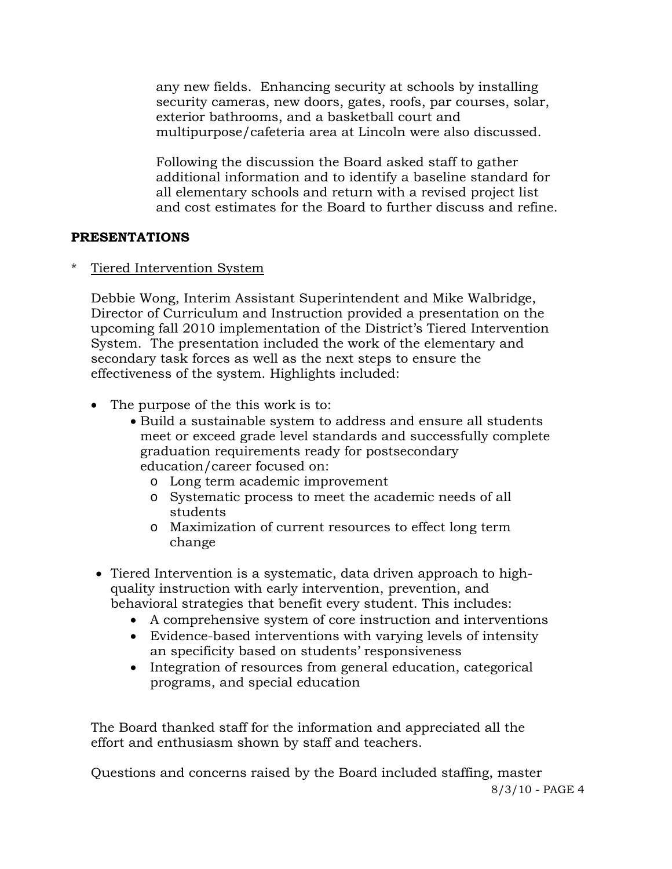any new fields. Enhancing security at schools by installing security cameras, new doors, gates, roofs, par courses, solar, exterior bathrooms, and a basketball court and multipurpose/cafeteria area at Lincoln were also discussed.

Following the discussion the Board asked staff to gather additional information and to identify a baseline standard for all elementary schools and return with a revised project list and cost estimates for the Board to further discuss and refine.

# **PRESENTATIONS**

\* Tiered Intervention System

 Debbie Wong, Interim Assistant Superintendent and Mike Walbridge, Director of Curriculum and Instruction provided a presentation on the upcoming fall 2010 implementation of the District's Tiered Intervention System. The presentation included the work of the elementary and secondary task forces as well as the next steps to ensure the effectiveness of the system. Highlights included:

- The purpose of the this work is to:
	- Build a sustainable system to address and ensure all students meet or exceed grade level standards and successfully complete graduation requirements ready for postsecondary education/career focused on:
		- o Long term academic improvement
		- o Systematic process to meet the academic needs of all students
		- o Maximization of current resources to effect long term change
- Tiered Intervention is a systematic, data driven approach to highquality instruction with early intervention, prevention, and behavioral strategies that benefit every student. This includes:
	- A comprehensive system of core instruction and interventions
	- Evidence-based interventions with varying levels of intensity an specificity based on students' responsiveness
	- Integration of resources from general education, categorical programs, and special education

 The Board thanked staff for the information and appreciated all the effort and enthusiasm shown by staff and teachers.

8/3/10 - PAGE 4 Questions and concerns raised by the Board included staffing, master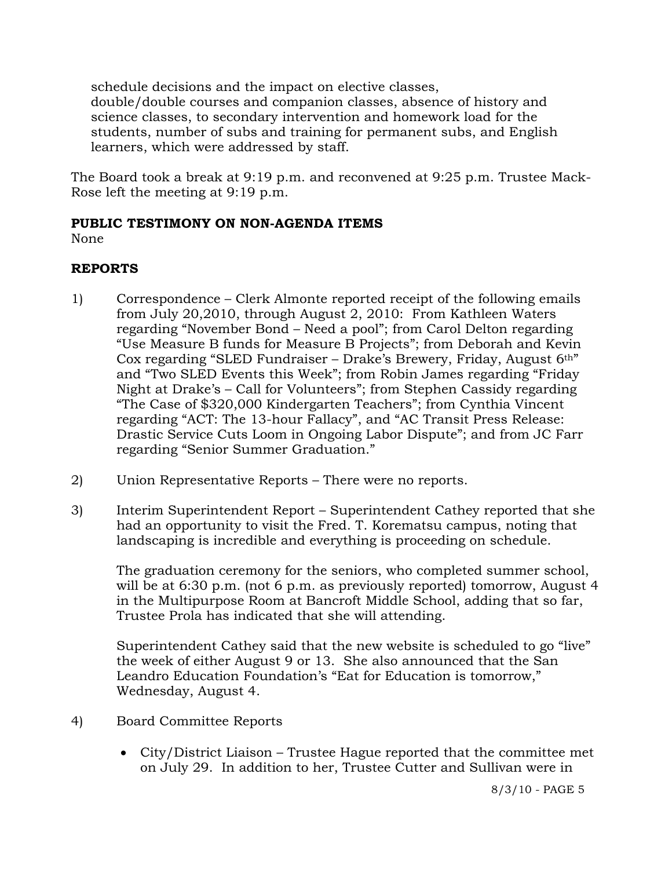schedule decisions and the impact on elective classes, double/double courses and companion classes, absence of history and science classes, to secondary intervention and homework load for the students, number of subs and training for permanent subs, and English learners, which were addressed by staff.

The Board took a break at 9:19 p.m. and reconvened at 9:25 p.m. Trustee Mack-Rose left the meeting at 9:19 p.m.

# **PUBLIC TESTIMONY ON NON-AGENDA ITEMS**

None

# **REPORTS**

- 1) Correspondence Clerk Almonte reported receipt of the following emails from July 20,2010, through August 2, 2010: From Kathleen Waters regarding "November Bond – Need a pool"; from Carol Delton regarding "Use Measure B funds for Measure B Projects"; from Deborah and Kevin Cox regarding "SLED Fundraiser – Drake's Brewery, Friday, August 6th" and "Two SLED Events this Week"; from Robin James regarding "Friday Night at Drake's – Call for Volunteers"; from Stephen Cassidy regarding "The Case of \$320,000 Kindergarten Teachers"; from Cynthia Vincent regarding "ACT: The 13-hour Fallacy", and "AC Transit Press Release: Drastic Service Cuts Loom in Ongoing Labor Dispute"; and from JC Farr regarding "Senior Summer Graduation."
- 2) Union Representative Reports There were no reports.
- 3) Interim Superintendent Report Superintendent Cathey reported that she had an opportunity to visit the Fred. T. Korematsu campus, noting that landscaping is incredible and everything is proceeding on schedule.

The graduation ceremony for the seniors, who completed summer school, will be at 6:30 p.m. (not 6 p.m. as previously reported) tomorrow, August 4 in the Multipurpose Room at Bancroft Middle School, adding that so far, Trustee Prola has indicated that she will attending.

Superintendent Cathey said that the new website is scheduled to go "live" the week of either August 9 or 13. She also announced that the San Leandro Education Foundation's "Eat for Education is tomorrow," Wednesday, August 4.

- 4) Board Committee Reports
	- City/District Liaison Trustee Hague reported that the committee met on July 29. In addition to her, Trustee Cutter and Sullivan were in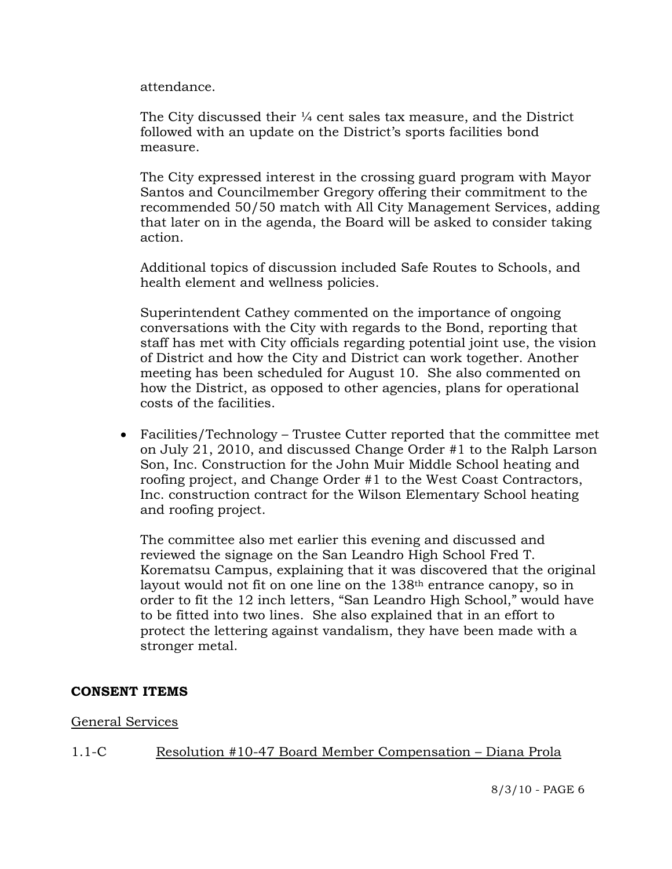attendance.

The City discussed their  $\frac{1}{4}$  cent sales tax measure, and the District followed with an update on the District's sports facilities bond measure.

The City expressed interest in the crossing guard program with Mayor Santos and Councilmember Gregory offering their commitment to the recommended 50/50 match with All City Management Services, adding that later on in the agenda, the Board will be asked to consider taking action.

Additional topics of discussion included Safe Routes to Schools, and health element and wellness policies.

Superintendent Cathey commented on the importance of ongoing conversations with the City with regards to the Bond, reporting that staff has met with City officials regarding potential joint use, the vision of District and how the City and District can work together. Another meeting has been scheduled for August 10. She also commented on how the District, as opposed to other agencies, plans for operational costs of the facilities.

 Facilities/Technology – Trustee Cutter reported that the committee met on July 21, 2010, and discussed Change Order #1 to the Ralph Larson Son, Inc. Construction for the John Muir Middle School heating and roofing project, and Change Order #1 to the West Coast Contractors, Inc. construction contract for the Wilson Elementary School heating and roofing project.

The committee also met earlier this evening and discussed and reviewed the signage on the San Leandro High School Fred T. Korematsu Campus, explaining that it was discovered that the original layout would not fit on one line on the 138th entrance canopy, so in order to fit the 12 inch letters, "San Leandro High School," would have to be fitted into two lines. She also explained that in an effort to protect the lettering against vandalism, they have been made with a stronger metal.

# **CONSENT ITEMS**

#### General Services

1.1-C Resolution #10-47 Board Member Compensation – Diana Prola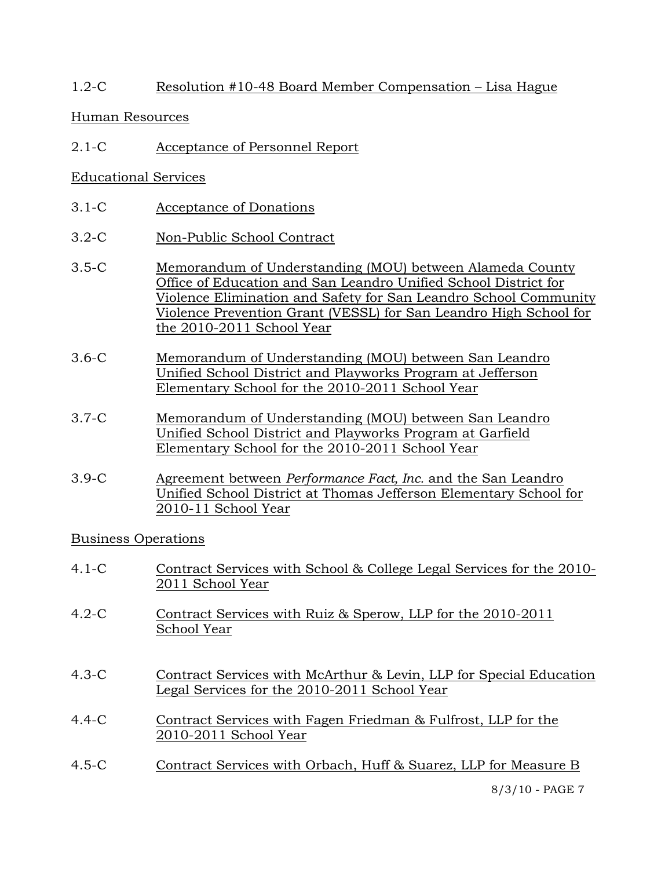# 1.2-C Resolution #10-48 Board Member Compensation – Lisa Hague

## Human Resources

2.1-C Acceptance of Personnel Report

# Educational Services

- 3.1-C Acceptance of Donations
- 3.2-C Non-Public School Contract
- 3.5-C Memorandum of Understanding (MOU) between Alameda County Office of Education and San Leandro Unified School District for Violence Elimination and Safety for San Leandro School Community Violence Prevention Grant (VESSL) for San Leandro High School for the 2010-2011 School Year
- 3.6-C Memorandum of Understanding (MOU) between San Leandro Unified School District and Playworks Program at Jefferson Elementary School for the 2010-2011 School Year
- 3.7-C Memorandum of Understanding (MOU) between San Leandro Unified School District and Playworks Program at Garfield Elementary School for the 2010-2011 School Year
- 3.9-C Agreement between *Performance Fact, Inc.* and the San Leandro Unified School District at Thomas Jefferson Elementary School for 2010-11 School Year

Business Operations

- 4.1-C Contract Services with School & College Legal Services for the 2010- 2011 School Year
- 4.2-C Contract Services with Ruiz & Sperow, LLP for the 2010-2011 School Year
- 4.3-C Contract Services with McArthur & Levin, LLP for Special Education Legal Services for the 2010-2011 School Year
- 4.4-C Contract Services with Fagen Friedman & Fulfrost, LLP for the 2010-2011 School Year
- 4.5-C Contract Services with Orbach, Huff & Suarez, LLP for Measure B

8/3/10 - PAGE 7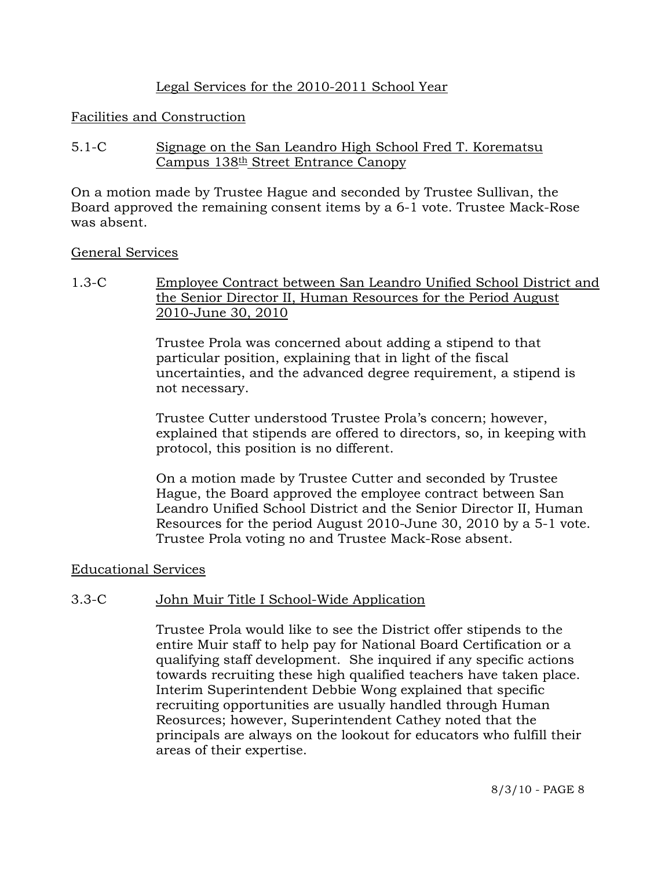# Legal Services for the 2010-2011 School Year

## Facilities and Construction

5.1-C Signage on the San Leandro High School Fred T. Korematsu Campus  $138th$  Street Entrance Canopy

On a motion made by Trustee Hague and seconded by Trustee Sullivan, the Board approved the remaining consent items by a 6-1 vote. Trustee Mack-Rose was absent.

## General Services

1.3-C Employee Contract between San Leandro Unified School District and the Senior Director II, Human Resources for the Period August 2010-June 30, 2010

> Trustee Prola was concerned about adding a stipend to that particular position, explaining that in light of the fiscal uncertainties, and the advanced degree requirement, a stipend is not necessary.

Trustee Cutter understood Trustee Prola's concern; however, explained that stipends are offered to directors, so, in keeping with protocol, this position is no different.

On a motion made by Trustee Cutter and seconded by Trustee Hague, the Board approved the employee contract between San Leandro Unified School District and the Senior Director II, Human Resources for the period August 2010-June 30, 2010 by a 5-1 vote. Trustee Prola voting no and Trustee Mack-Rose absent.

# Educational Services

# 3.3-C John Muir Title I School-Wide Application

Trustee Prola would like to see the District offer stipends to the entire Muir staff to help pay for National Board Certification or a qualifying staff development. She inquired if any specific actions towards recruiting these high qualified teachers have taken place. Interim Superintendent Debbie Wong explained that specific recruiting opportunities are usually handled through Human Reosurces; however, Superintendent Cathey noted that the principals are always on the lookout for educators who fulfill their areas of their expertise.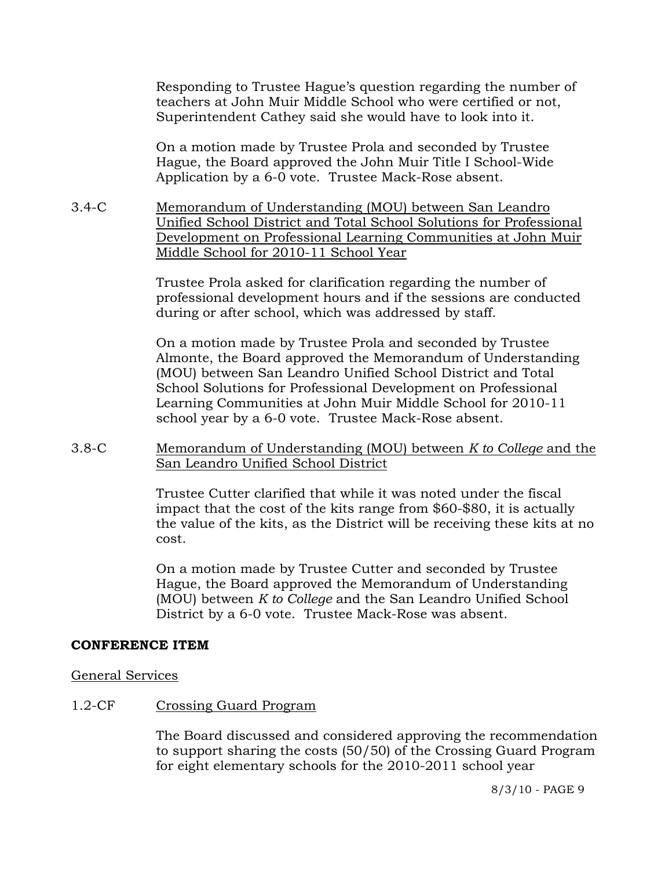Responding to Trustee Hague's question regarding the number of teachers at John Muir Middle School who were certified or not, Superintendent Cathey said she would have to look into it.

On a motion made by Trustee Prola and seconded by Trustee Hague, the Board approved the John Muir Title I School-Wide Application by a 6-0 vote. Trustee Mack-Rose absent.

3.4-C Memorandum of Understanding (MOU) between San Leandro Unified School District and Total School Solutions for Professional Development on Professional Learning Communities at John Muir Middle School for 2010-11 School Year

> Trustee Prola asked for clarification regarding the number of professional development hours and if the sessions are conducted during or after school, which was addressed by staff.

> On a motion made by Trustee Prola and seconded by Trustee Almonte, the Board approved the Memorandum of Understanding (MOU) between San Leandro Unified School District and Total School Solutions for Professional Development on Professional Learning Communities at John Muir Middle School for 2010-11 school year by a 6-0 vote. Trustee Mack-Rose absent.

# 3.8-C Memorandum of Understanding (MOU) between *K to College* and the San Leandro Unified School District

Trustee Cutter clarified that while it was noted under the fiscal impact that the cost of the kits range from \$60-\$80, it is actually the value of the kits, as the District will be receiving these kits at no cost.

On a motion made by Trustee Cutter and seconded by Trustee Hague, the Board approved the Memorandum of Understanding (MOU) between *K to College* and the San Leandro Unified School District by a 6-0 vote. Trustee Mack-Rose was absent.

#### **CONFERENCE ITEM**

# General Services

# 1.2-CF Crossing Guard Program

The Board discussed and considered approving the recommendation to support sharing the costs (50/50) of the Crossing Guard Program for eight elementary schools for the 2010-2011 school year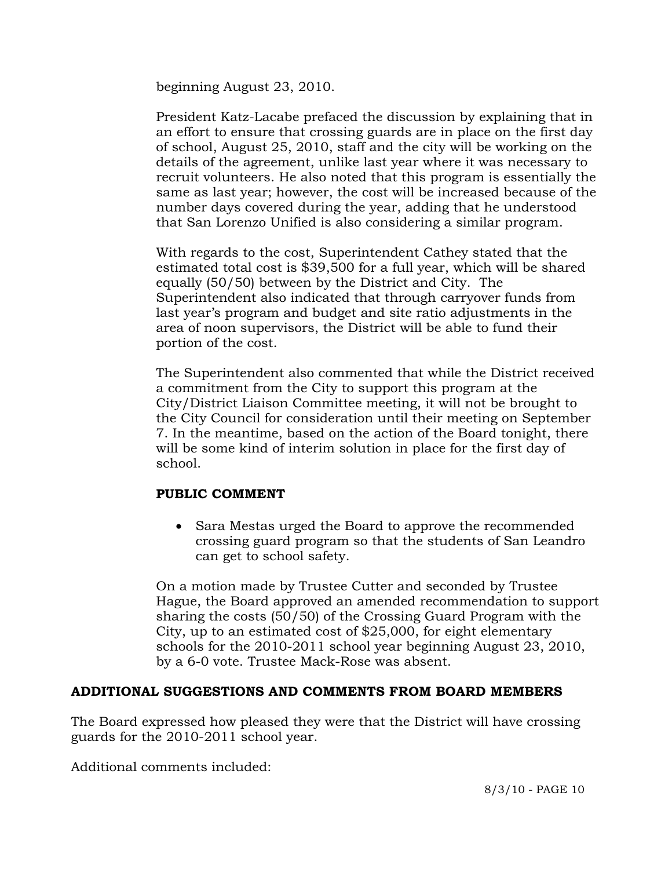beginning August 23, 2010.

President Katz-Lacabe prefaced the discussion by explaining that in an effort to ensure that crossing guards are in place on the first day of school, August 25, 2010, staff and the city will be working on the details of the agreement, unlike last year where it was necessary to recruit volunteers. He also noted that this program is essentially the same as last year; however, the cost will be increased because of the number days covered during the year, adding that he understood that San Lorenzo Unified is also considering a similar program.

With regards to the cost, Superintendent Cathey stated that the estimated total cost is \$39,500 for a full year, which will be shared equally (50/50) between by the District and City. The Superintendent also indicated that through carryover funds from last year's program and budget and site ratio adjustments in the area of noon supervisors, the District will be able to fund their portion of the cost.

The Superintendent also commented that while the District received a commitment from the City to support this program at the City/District Liaison Committee meeting, it will not be brought to the City Council for consideration until their meeting on September 7. In the meantime, based on the action of the Board tonight, there will be some kind of interim solution in place for the first day of school.

# **PUBLIC COMMENT**

• Sara Mestas urged the Board to approve the recommended crossing guard program so that the students of San Leandro can get to school safety.

On a motion made by Trustee Cutter and seconded by Trustee Hague, the Board approved an amended recommendation to support sharing the costs (50/50) of the Crossing Guard Program with the City, up to an estimated cost of \$25,000, for eight elementary schools for the 2010-2011 school year beginning August 23, 2010, by a 6-0 vote. Trustee Mack-Rose was absent.

# **ADDITIONAL SUGGESTIONS AND COMMENTS FROM BOARD MEMBERS**

The Board expressed how pleased they were that the District will have crossing guards for the 2010-2011 school year.

Additional comments included: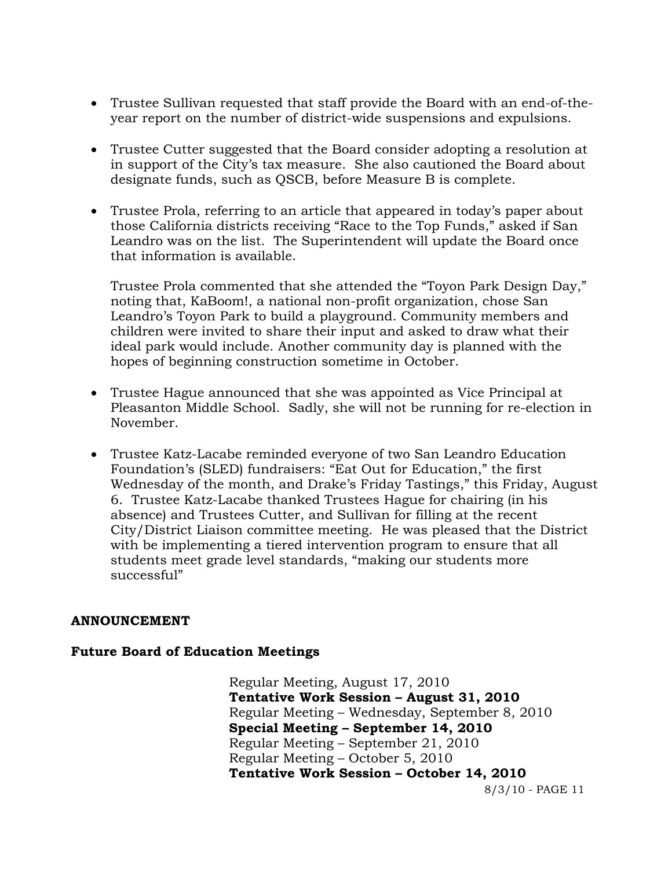- Trustee Sullivan requested that staff provide the Board with an end-of-theyear report on the number of district-wide suspensions and expulsions.
- Trustee Cutter suggested that the Board consider adopting a resolution at in support of the City's tax measure. She also cautioned the Board about designate funds, such as QSCB, before Measure B is complete.
- Trustee Prola, referring to an article that appeared in today's paper about those California districts receiving "Race to the Top Funds," asked if San Leandro was on the list. The Superintendent will update the Board once that information is available.

Trustee Prola commented that she attended the "Toyon Park Design Day," noting that, KaBoom!, a national non-profit organization, chose San Leandro's Toyon Park to build a playground. Community members and children were invited to share their input and asked to draw what their ideal park would include. Another community day is planned with the hopes of beginning construction sometime in October.

- Trustee Hague announced that she was appointed as Vice Principal at Pleasanton Middle School. Sadly, she will not be running for re-election in November.
- Trustee Katz-Lacabe reminded everyone of two San Leandro Education Foundation's (SLED) fundraisers: "Eat Out for Education," the first Wednesday of the month, and Drake's Friday Tastings," this Friday, August 6. Trustee Katz-Lacabe thanked Trustees Hague for chairing (in his absence) and Trustees Cutter, and Sullivan for filling at the recent City/District Liaison committee meeting. He was pleased that the District with be implementing a tiered intervention program to ensure that all students meet grade level standards, "making our students more successful"

# **ANNOUNCEMENT**

# **Future Board of Education Meetings**

8/3/10 - PAGE 11 Regular Meeting, August 17, 2010  **Tentative Work Session – August 31, 2010**  Regular Meeting – Wednesday, September 8, 2010  **Special Meeting – September 14, 2010**  Regular Meeting – September 21, 2010 Regular Meeting – October 5, 2010  **Tentative Work Session – October 14, 2010**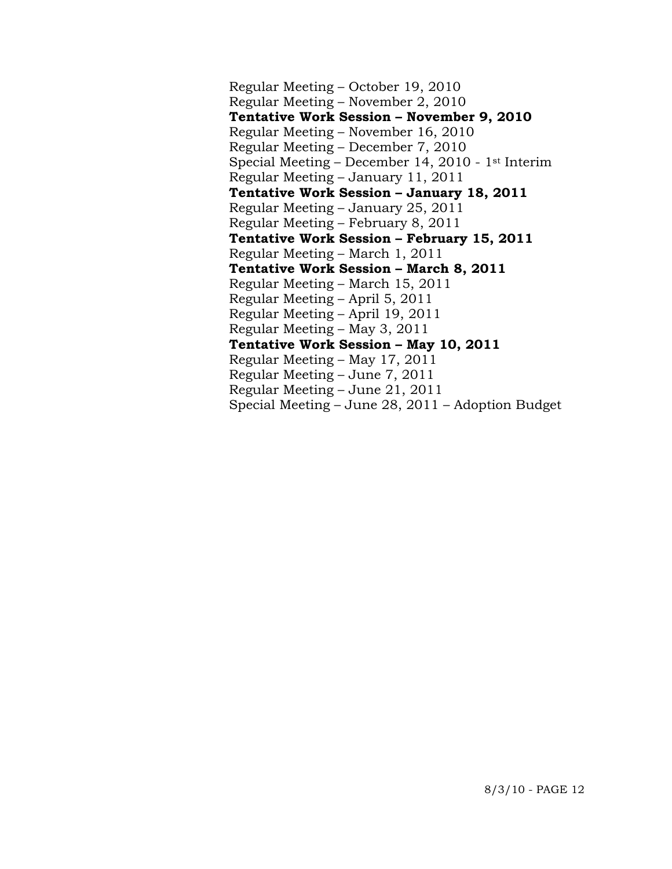Regular Meeting – October 19, 2010 Regular Meeting – November 2, 2010  **Tentative Work Session – November 9, 2010**  Regular Meeting – November 16, 2010 Regular Meeting – December 7, 2010 Special Meeting – December 14, 2010 - 1st Interim Regular Meeting – January 11, 2011  **Tentative Work Session – January 18, 2011**  Regular Meeting – January 25, 2011 Regular Meeting – February 8, 2011  **Tentative Work Session – February 15, 2011**  Regular Meeting – March 1, 2011  **Tentative Work Session – March 8, 2011**  Regular Meeting – March 15, 2011 Regular Meeting – April 5, 2011 Regular Meeting – April 19, 2011 Regular Meeting – May 3, 2011  **Tentative Work Session – May 10, 2011**  Regular Meeting – May 17, 2011 Regular Meeting – June 7, 2011 Regular Meeting – June 21, 2011 Special Meeting – June 28, 2011 – Adoption Budget